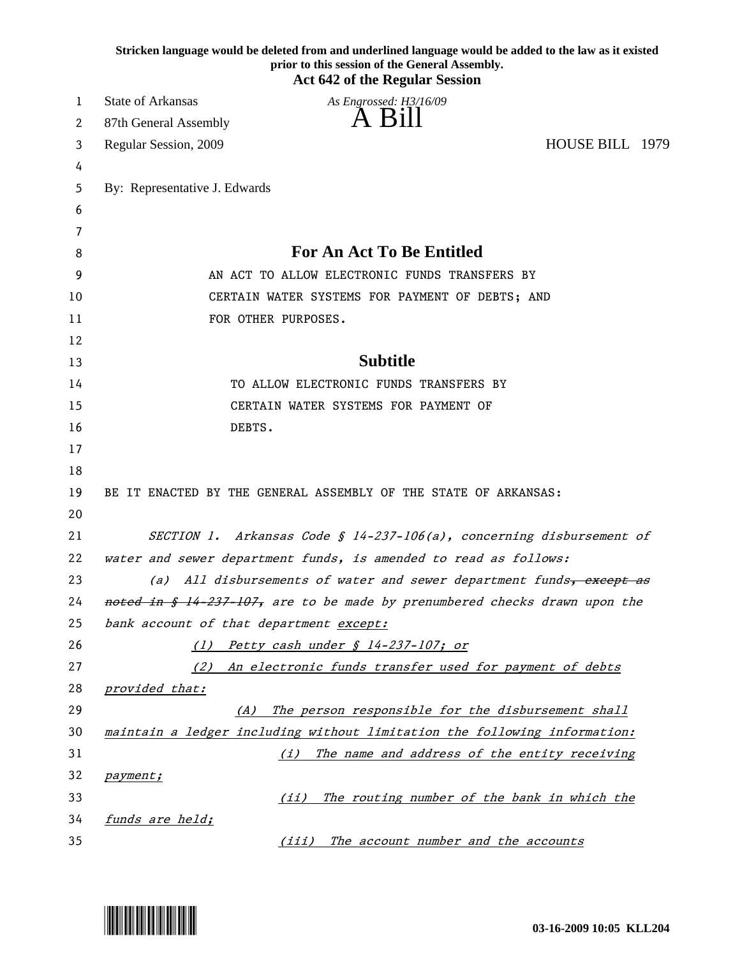|    | Stricken language would be deleted from and underlined language would be added to the law as it existed<br>prior to this session of the General Assembly.<br><b>Act 642 of the Regular Session</b> |
|----|----------------------------------------------------------------------------------------------------------------------------------------------------------------------------------------------------|
| 1  | State of Arkansas<br>As Engrossed: H3/16/09                                                                                                                                                        |
| 2  | A Bill<br>87th General Assembly                                                                                                                                                                    |
| 3  | HOUSE BILL 1979<br>Regular Session, 2009                                                                                                                                                           |
| 4  |                                                                                                                                                                                                    |
| 5  | By: Representative J. Edwards                                                                                                                                                                      |
| 6  |                                                                                                                                                                                                    |
| 7  |                                                                                                                                                                                                    |
| 8  | <b>For An Act To Be Entitled</b>                                                                                                                                                                   |
| 9  | AN ACT TO ALLOW ELECTRONIC FUNDS TRANSFERS BY                                                                                                                                                      |
| 10 | CERTAIN WATER SYSTEMS FOR PAYMENT OF DEBTS; AND                                                                                                                                                    |
| 11 | FOR OTHER PURPOSES.                                                                                                                                                                                |
| 12 |                                                                                                                                                                                                    |
| 13 | <b>Subtitle</b>                                                                                                                                                                                    |
| 14 | TO ALLOW ELECTRONIC FUNDS TRANSFERS BY                                                                                                                                                             |
| 15 | CERTAIN WATER SYSTEMS FOR PAYMENT OF                                                                                                                                                               |
| 16 | DEBTS.                                                                                                                                                                                             |
| 17 |                                                                                                                                                                                                    |
| 18 |                                                                                                                                                                                                    |
| 19 | BE IT ENACTED BY THE GENERAL ASSEMBLY OF THE STATE OF ARKANSAS:                                                                                                                                    |
| 20 |                                                                                                                                                                                                    |
| 21 | SECTION 1. Arkansas Code § 14-237-106(a), concerning disbursement of                                                                                                                               |
| 22 | water and sewer department funds, is amended to read as follows:                                                                                                                                   |
| 23 | All disbursements of water and sewer department funds, except as<br>(a)                                                                                                                            |
| 24 | noted in § 14-237-107, are to be made by prenumbered checks drawn upon the                                                                                                                         |
| 25 | bank account of that department except:                                                                                                                                                            |
| 26 | (1) Petty cash under § 14-237-107; or                                                                                                                                                              |
| 27 | An electronic funds transfer used for payment of debts<br>(2)                                                                                                                                      |
| 28 | provided that:                                                                                                                                                                                     |
| 29 | The person responsible for the disbursement shall<br>(A)                                                                                                                                           |
| 30 | maintain a ledger including without limitation the following information:                                                                                                                          |
| 31 | The name and address of the entity receiving<br>(i)                                                                                                                                                |
| 32 | payment;                                                                                                                                                                                           |
| 33 | The routing number of the bank in which the<br>(iii)                                                                                                                                               |
| 34 | funds are held;                                                                                                                                                                                    |
| 35 | The account number and the accounts<br>(iii)                                                                                                                                                       |